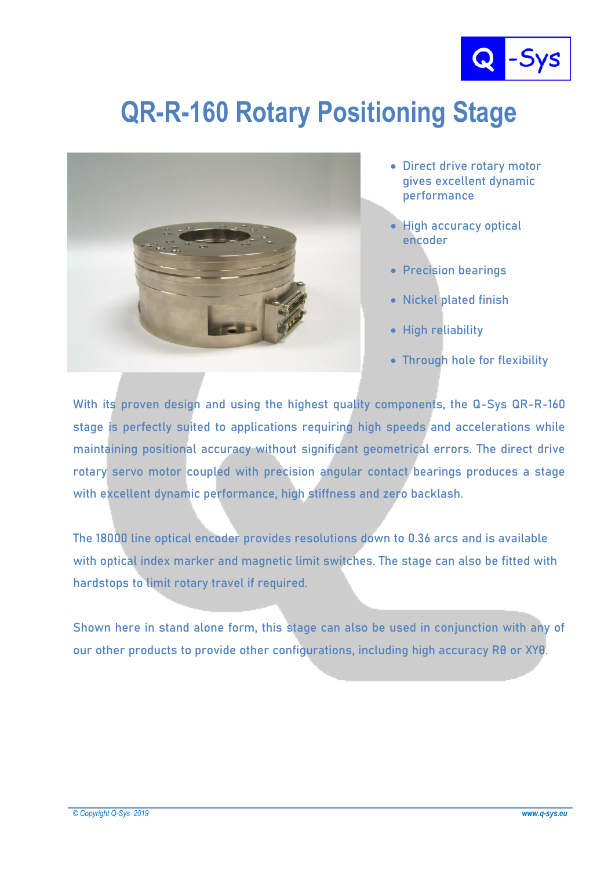

## **QR-R-160 Rotary Positioning Stage**



- **Direct drive rotary motor gives excellent dynamic performance**
- **High accuracy optical encoder**
- **Precision bearings**
- **Nickel plated finish**
- **High reliability**
- **Through hole for flexibility**

**With its proven design and using the highest quality components, the Q-Sys QR-R-160 stage is perfectly suited to applications requiring high speeds and accelerations while maintaining positional accuracy without significant geometrical errors. The direct drive rotary servo motor coupled with precision angular contact bearings produces a stage with excellent dynamic performance, high stiffness and zero backlash.**

**The 18000 line optical encoder provides resolutions down to 0.36 arcs and is available with optical index marker and magnetic limit switches. The stage can also be fitted with hardstops to limit rotary travel if required.**

**Shown here in stand alone form, this stage can also be used in conjunction with any of our other products to provide other configurations, including high accuracy Rθ or XYθ.**